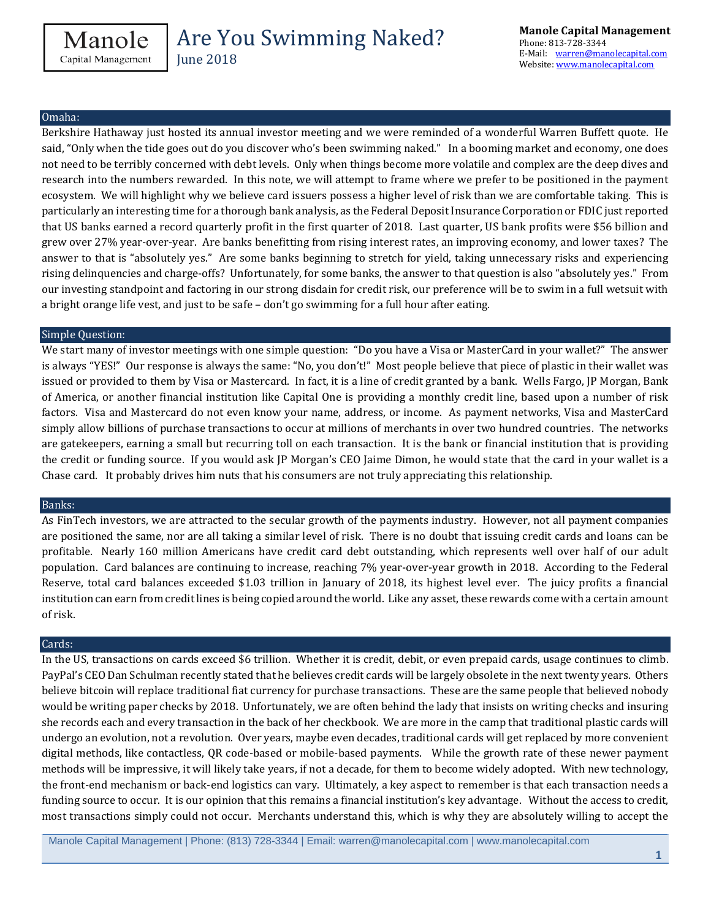June 2018

#### Omaha:

Berkshire Hathaway just hosted its annual investor meeting and we were reminded of a wonderful Warren Buffett quote. He said, "Only when the tide goes out do you discover who's been swimming naked." In a booming market and economy, one does not need to be terribly concerned with debt levels. Only when things become more volatile and complex are the deep dives and research into the numbers rewarded. In this note, we will attempt to frame where we prefer to be positioned in the payment ecosystem. We will highlight why we believe card issuers possess a higher level of risk than we are comfortable taking. This is particularly an interesting time for a thorough bank analysis, as the Federal Deposit Insurance Corporation or FDIC just reported that US banks earned a record quarterly profit in the first quarter of 2018. Last quarter, US bank profits were \$56 billion and grew over 27% year-over-year. Are banks benefitting from rising interest rates, an improving economy, and lower taxes? The answer to that is "absolutely yes." Are some banks beginning to stretch for yield, taking unnecessary risks and experiencing rising delinquencies and charge-offs? Unfortunately, for some banks, the answer to that question is also "absolutely yes." From our investing standpoint and factoring in our strong disdain for credit risk, our preference will be to swim in a full wetsuit with a bright orange life vest, and just to be safe – don't go swimming for a full hour after eating.

#### Simple Question:

We start many of investor meetings with one simple question: "Do you have a Visa or MasterCard in your wallet?" The answer is always "YES!" Our response is always the same: "No, you don't!" Most people believe that piece of plastic in their wallet was issued or provided to them by Visa or Mastercard. In fact, it is a line of credit granted by a bank. Wells Fargo, JP Morgan, Bank of America, or another financial institution like Capital One is providing a monthly credit line, based upon a number of risk factors. Visa and Mastercard do not even know your name, address, or income. As payment networks, Visa and MasterCard simply allow billions of purchase transactions to occur at millions of merchants in over two hundred countries. The networks are gatekeepers, earning a small but recurring toll on each transaction. It is the bank or financial institution that is providing the credit or funding source. If you would ask JP Morgan's CEO Jaime Dimon, he would state that the card in your wallet is a Chase card. It probably drives him nuts that his consumers are not truly appreciating this relationship.

#### Banks:

As FinTech investors, we are attracted to the secular growth of the payments industry. However, not all payment companies are positioned the same, nor are all taking a similar level of risk. There is no doubt that issuing credit cards and loans can be profitable. Nearly 160 million Americans have credit card debt outstanding, which represents well over half of our adult population. Card balances are continuing to increase, reaching 7% year-over-year growth in 2018. According to the Federal Reserve, total card balances exceeded \$1.03 trillion in January of 2018, its highest level ever. The juicy profits a financial institution can earn from credit lines is being copied around the world. Like any asset, these rewards come with a certain amount of risk.

#### Cards:

In the US, transactions on cards exceed \$6 trillion. Whether it is credit, debit, or even prepaid cards, usage continues to climb. PayPal's CEO Dan Schulman recently stated that he believes credit cards will be largely obsolete in the next twenty years. Others believe bitcoin will replace traditional fiat currency for purchase transactions. These are the same people that believed nobody would be writing paper checks by 2018. Unfortunately, we are often behind the lady that insists on writing checks and insuring she records each and every transaction in the back of her checkbook. We are more in the camp that traditional plastic cards will undergo an evolution, not a revolution. Over years, maybe even decades, traditional cards will get replaced by more convenient digital methods, like contactless, QR code-based or mobile-based payments. While the growth rate of these newer payment methods will be impressive, it will likely take years, if not a decade, for them to become widely adopted. With new technology, the front-end mechanism or back-end logistics can vary. Ultimately, a key aspect to remember is that each transaction needs a funding source to occur. It is our opinion that this remains a financial institution's key advantage. Without the access to credit, most transactions simply could not occur. Merchants understand this, which is why they are absolutely willing to accept the

Manole Capital Management | Phone: (813) 728-3344 | Email: warren@manolecapital.com | www.manolecapital.com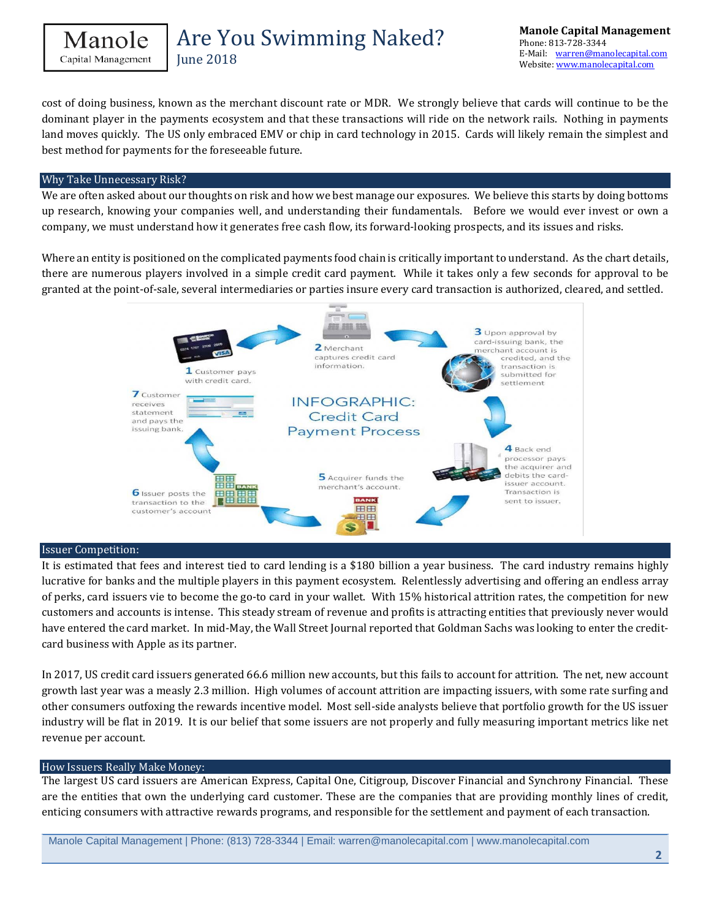```
Manole
Capital Management
```
**June 2018** 

cost of doing business, known as the merchant discount rate or MDR. We strongly believe that cards will continue to be the dominant player in the payments ecosystem and that these transactions will ride on the network rails. Nothing in payments land moves quickly. The US only embraced EMV or chip in card technology in 2015. Cards will likely remain the simplest and best method for payments for the foreseeable future.

#### Why Take Unnecessary Risk?

We are often asked about our thoughts on risk and how we best manage our exposures. We believe this starts by doing bottoms up research, knowing your companies well, and understanding their fundamentals. Before we would ever invest or own a company, we must understand how it generates free cash flow, its forward-looking prospects, and its issues and risks.

Where an entity is positioned on the complicated payments food chain is critically important to understand. As the chart details, there are numerous players involved in a simple credit card payment. While it takes only a few seconds for approval to be granted at the point-of-sale, several intermediaries or parties insure every card transaction is authorized, cleared, and settled.



#### Issuer Competition:

It is estimated that fees and interest tied to card lending is a \$180 billion a year business. The card industry remains highly lucrative for banks and the multiple players in this payment ecosystem. Relentlessly advertising and offering an endless array of perks, card issuers vie to become the go-to card in your wallet. With 15% historical attrition rates, the competition for new customers and accounts is intense. This steady stream of revenue and profits is attracting entities that previously never would have entered the card market. In mid-May, the Wall Street Journal reported that Goldman Sachs was looking to enter the creditcard business with Apple as its partner.

In 2017, US credit card issuers generated 66.6 million new accounts, but this fails to account for attrition. The net, new account growth last year was a measly 2.3 million. High volumes of account attrition are impacting issuers, with some rate surfing and other consumers outfoxing the rewards incentive model. Most sell-side analysts believe that portfolio growth for the US issuer industry will be flat in 2019. It is our belief that some issuers are not properly and fully measuring important metrics like net revenue per account.

#### How Issuers Really Make Money:

The largest US card issuers are American Express, Capital One, Citigroup, Discover Financial and Synchrony Financial. These are the entities that own the underlying card customer. These are the companies that are providing monthly lines of credit, enticing consumers with attractive rewards programs, and responsible for the settlement and payment of each transaction.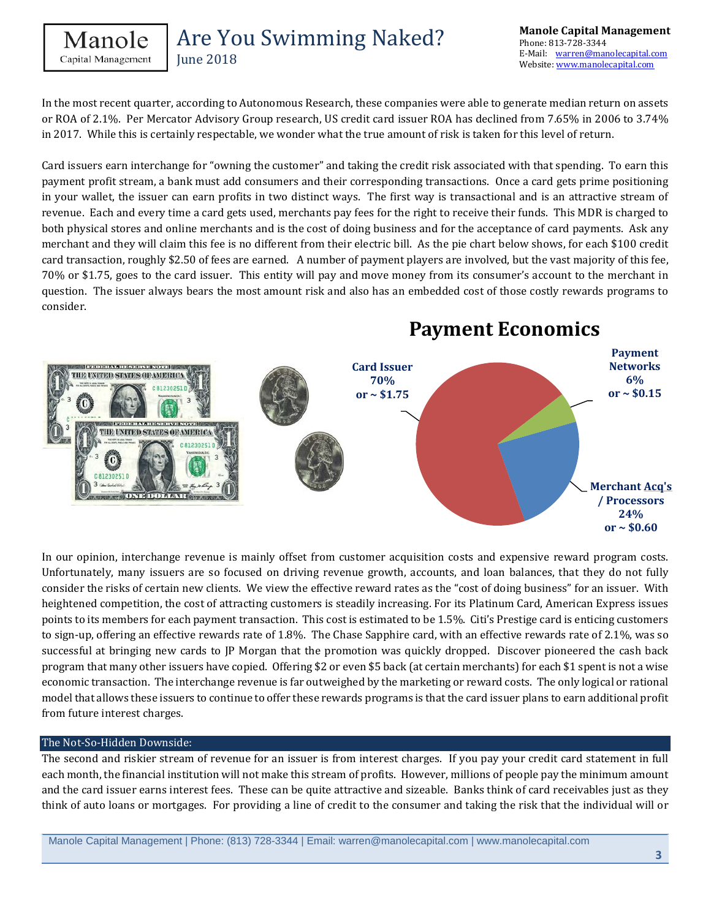**June 2018** 

In the most recent quarter, according to Autonomous Research, these companies were able to generate median return on assets or ROA of 2.1%. Per Mercator Advisory Group research, US credit card issuer ROA has declined from 7.65% in 2006 to 3.74% in 2017. While this is certainly respectable, we wonder what the true amount of risk is taken for this level of return.

Card issuers earn interchange for "owning the customer" and taking the credit risk associated with that spending. To earn this payment profit stream, a bank must add consumers and their corresponding transactions. Once a card gets prime positioning in your wallet, the issuer can earn profits in two distinct ways. The first way is transactional and is an attractive stream of revenue. Each and every time a card gets used, merchants pay fees for the right to receive their funds. This MDR is charged to both physical stores and online merchants and is the cost of doing business and for the acceptance of card payments. Ask any merchant and they will claim this fee is no different from their electric bill. As the pie chart below shows, for each \$100 credit card transaction, roughly \$2.50 of fees are earned. A number of payment players are involved, but the vast majority of this fee, 70% or \$1.75, goes to the card issuer. This entity will pay and move money from its consumer's account to the merchant in question. The issuer always bears the most amount risk and also has an embedded cost of those costly rewards programs to consider.



In our opinion, interchange revenue is mainly offset from customer acquisition costs and expensive reward program costs. Unfortunately, many issuers are so focused on driving revenue growth, accounts, and loan balances, that they do not fully consider the risks of certain new clients. We view the effective reward rates as the "cost of doing business" for an issuer. With heightened competition, the cost of attracting customers is steadily increasing. For its Platinum Card, American Express issues points to its members for each payment transaction. This cost is estimated to be 1.5%. Citi's Prestige card is enticing customers to sign-up, offering an effective rewards rate of 1.8%. The Chase Sapphire card, with an effective rewards rate of 2.1%, was so successful at bringing new cards to JP Morgan that the promotion was quickly dropped. Discover pioneered the cash back program that many other issuers have copied. Offering \$2 or even \$5 back (at certain merchants) for each \$1 spent is not a wise economic transaction. The interchange revenue is far outweighed by the marketing or reward costs. The only logical or rational model that allows these issuers to continue to offer these rewards programs is that the card issuer plans to earn additional profit from future interest charges.

#### The Not-So-Hidden Downside:

The second and riskier stream of revenue for an issuer is from interest charges. If you pay your credit card statement in full each month, the financial institution will not make this stream of profits. However, millions of people pay the minimum amount and the card issuer earns interest fees. These can be quite attractive and sizeable. Banks think of card receivables just as they think of auto loans or mortgages. For providing a line of credit to the consumer and taking the risk that the individual will or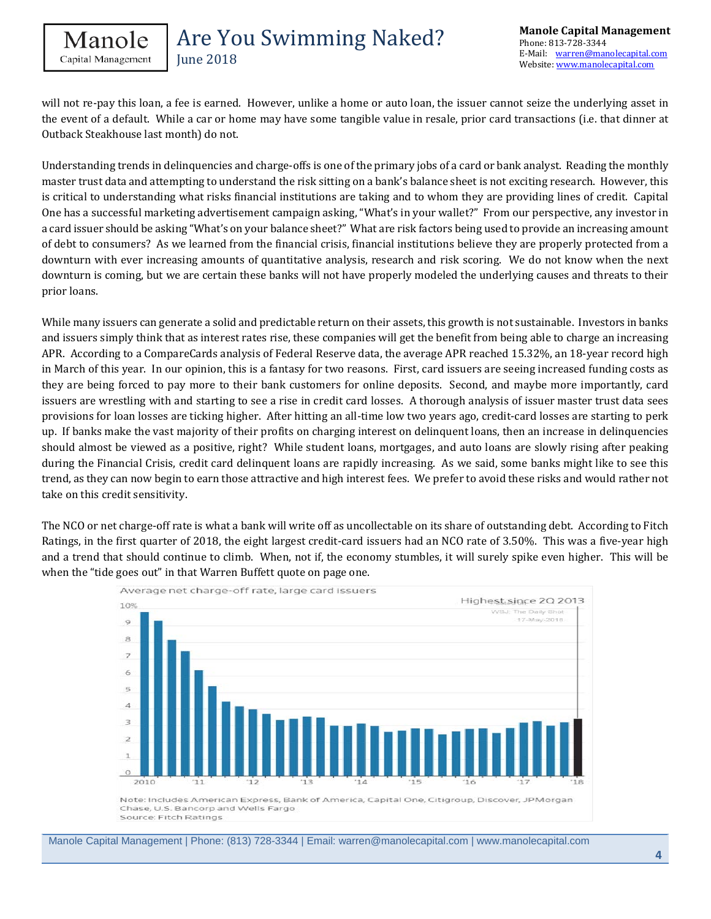

**June 2018** 

will not re-pay this loan, a fee is earned. However, unlike a home or auto loan, the issuer cannot seize the underlying asset in the event of a default. While a car or home may have some tangible value in resale, prior card transactions (i.e. that dinner at Outback Steakhouse last month) do not.

Understanding trends in delinquencies and charge-offs is one of the primary jobs of a card or bank analyst. Reading the monthly master trust data and attempting to understand the risk sitting on a bank's balance sheet is not exciting research. However, this is critical to understanding what risks financial institutions are taking and to whom they are providing lines of credit. Capital One has a successful marketing advertisement campaign asking, "What's in your wallet?" From our perspective, any investor in a card issuer should be asking "What's on your balance sheet?" What are risk factors being used to provide an increasing amount of debt to consumers? As we learned from the financial crisis, financial institutions believe they are properly protected from a downturn with ever increasing amounts of quantitative analysis, research and risk scoring. We do not know when the next downturn is coming, but we are certain these banks will not have properly modeled the underlying causes and threats to their prior loans.

While many issuers can generate a solid and predictable return on their assets, this growth is not sustainable. Investors in banks and issuers simply think that as interest rates rise, these companies will get the benefit from being able to charge an increasing APR. According to a CompareCards analysis of Federal Reserve data, the average APR reached 15.32%, an 18-year record high in March of this year. In our opinion, this is a fantasy for two reasons. First, card issuers are seeing increased funding costs as they are being forced to pay more to their bank customers for online deposits. Second, and maybe more importantly, card issuers are wrestling with and starting to see a rise in credit card losses. A thorough analysis of issuer master trust data sees provisions for loan losses are ticking higher. After hitting an all-time low two years ago, credit-card losses are starting to perk up. If banks make the vast majority of their profits on charging interest on delinquent loans, then an increase in delinquencies should almost be viewed as a positive, right? While student loans, mortgages, and auto loans are slowly rising after peaking during the Financial Crisis, credit card delinquent loans are rapidly increasing. As we said, some banks might like to see this trend, as they can now begin to earn those attractive and high interest fees. We prefer to avoid these risks and would rather not take on this credit sensitivity.

The NCO or net charge-off rate is what a bank will write off as uncollectable on its share of outstanding debt. According to Fitch Ratings, in the first quarter of 2018, the eight largest credit-card issuers had an NCO rate of 3.50%. This was a five-year high and a trend that should continue to climb. When, not if, the economy stumbles, it will surely spike even higher. This will be when the "tide goes out" in that Warren Buffett quote on page one.



Source: Fitch Ratings

Manole Capital Management | Phone: (813) 728-3344 | Email: warren@manolecapital.com | www.manolecapital.com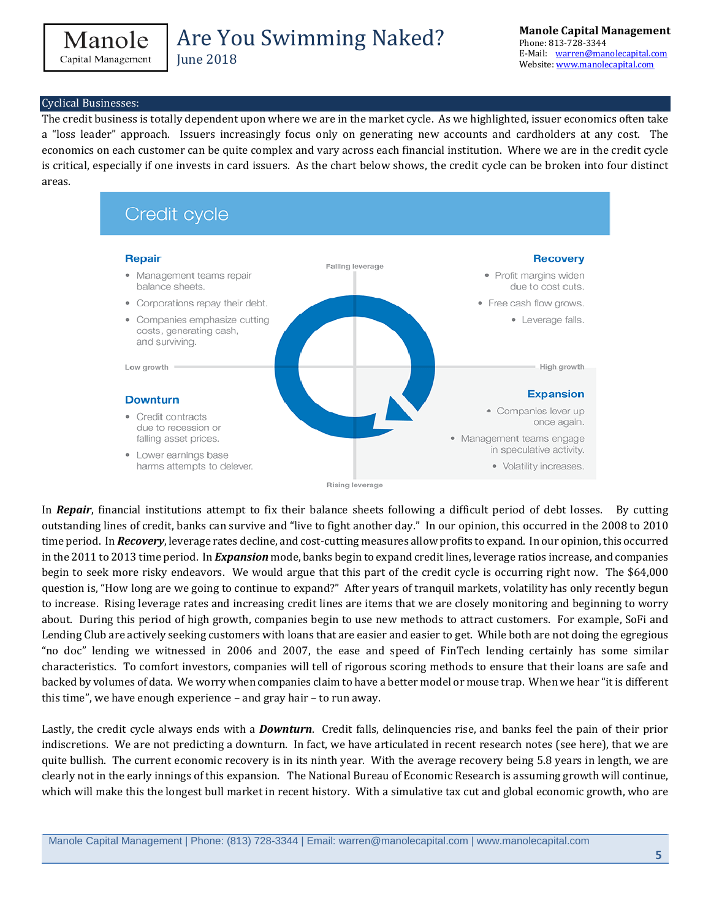```
Manole
Capital Management
```
#### Cyclical Businesses:

The credit business is totally dependent upon where we are in the market cycle. As we highlighted, issuer economics often take a "loss leader" approach. Issuers increasingly focus only on generating new accounts and cardholders at any cost. The economics on each customer can be quite complex and vary across each financial institution. Where we are in the credit cycle is critical, especially if one invests in card issuers. As the chart below shows, the credit cycle can be broken into four distinct areas.



In *Repair*, financial institutions attempt to fix their balance sheets following a difficult period of debt losses. By cutting outstanding lines of credit, banks can survive and "live to fight another day." In our opinion, this occurred in the 2008 to 2010 time period. In *Recovery*, leverage rates decline, and cost-cutting measures allow profits to expand. In our opinion, this occurred in the 2011 to 2013 time period. In *Expansion* mode, banks begin to expand credit lines, leverage ratios increase, and companies begin to seek more risky endeavors. We would argue that this part of the credit cycle is occurring right now. The \$64,000 question is, "How long are we going to continue to expand?" After years of tranquil markets, volatility has only recently begun to increase. Rising leverage rates and increasing credit lines are items that we are closely monitoring and beginning to worry about. During this period of high growth, companies begin to use new methods to attract customers. For example, SoFi and Lending Club are actively seeking customers with loans that are easier and easier to get. While both are not doing the egregious "no doc" lending we witnessed in 2006 and 2007, the ease and speed of FinTech lending certainly has some similar characteristics. To comfort investors, companies will tell of rigorous scoring methods to ensure that their loans are safe and backed by volumes of data. We worry when companies claim to have a better model or mouse trap. When we hear "it is different this time", we have enough experience – and gray hair – to run away.

Lastly, the credit cycle always ends with a *Downturn*. Credit falls, delinquencies rise, and banks feel the pain of their prior indiscretions. We are not predicting a downturn. In fact, we have articulated in recent research notes (see here), that we are quite bullish. The current economic recovery is in its ninth year. With the average recovery being 5.8 years in length, we are clearly not in the early innings of this expansion. The National Bureau of Economic Research is assuming growth will continue, which will make this the longest bull market in recent history. With a simulative tax cut and global economic growth, who are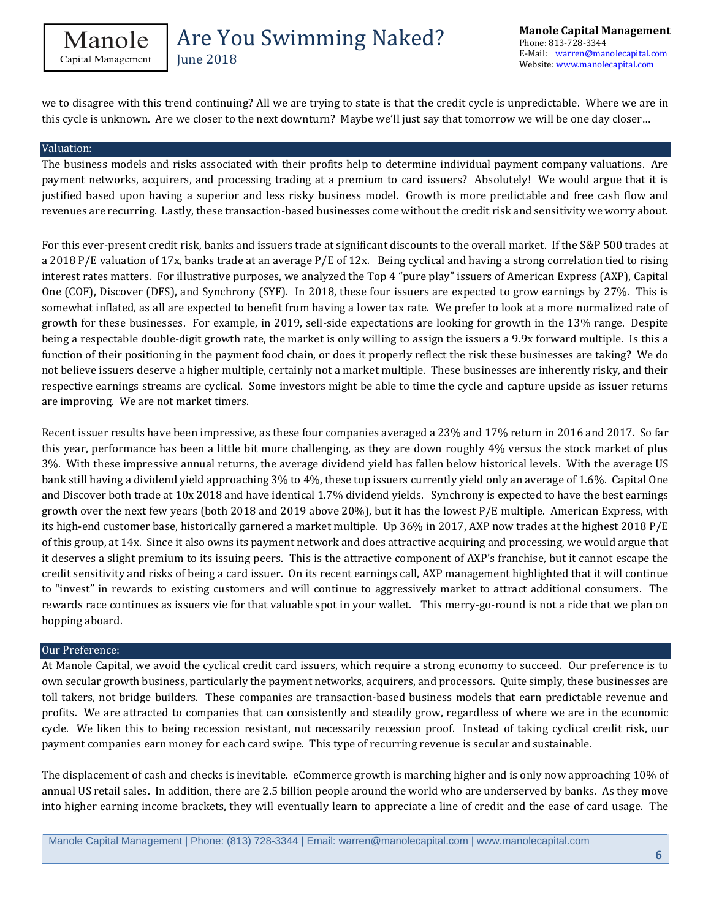June 2018

we to disagree with this trend continuing? All we are trying to state is that the credit cycle is unpredictable. Where we are in this cycle is unknown. Are we closer to the next downturn? Maybe we'll just say that tomorrow we will be one day closer…

#### Valuation:

The business models and risks associated with their profits help to determine individual payment company valuations. Are payment networks, acquirers, and processing trading at a premium to card issuers? Absolutely! We would argue that it is justified based upon having a superior and less risky business model. Growth is more predictable and free cash flow and revenues are recurring. Lastly, these transaction-based businesses come without the credit risk and sensitivity we worry about.

For this ever-present credit risk, banks and issuers trade at significant discounts to the overall market. If the S&P 500 trades at a 2018 P/E valuation of 17x, banks trade at an average P/E of 12x. Being cyclical and having a strong correlation tied to rising interest rates matters. For illustrative purposes, we analyzed the Top 4 "pure play" issuers of American Express (AXP), Capital One (COF), Discover (DFS), and Synchrony (SYF). In 2018, these four issuers are expected to grow earnings by 27%. This is somewhat inflated, as all are expected to benefit from having a lower tax rate. We prefer to look at a more normalized rate of growth for these businesses. For example, in 2019, sell-side expectations are looking for growth in the 13% range. Despite being a respectable double-digit growth rate, the market is only willing to assign the issuers a 9.9x forward multiple. Is this a function of their positioning in the payment food chain, or does it properly reflect the risk these businesses are taking? We do not believe issuers deserve a higher multiple, certainly not a market multiple. These businesses are inherently risky, and their respective earnings streams are cyclical. Some investors might be able to time the cycle and capture upside as issuer returns are improving. We are not market timers.

Recent issuer results have been impressive, as these four companies averaged a 23% and 17% return in 2016 and 2017. So far this year, performance has been a little bit more challenging, as they are down roughly 4% versus the stock market of plus 3%. With these impressive annual returns, the average dividend yield has fallen below historical levels. With the average US bank still having a dividend yield approaching 3% to 4%, these top issuers currently yield only an average of 1.6%. Capital One and Discover both trade at 10x 2018 and have identical 1.7% dividend yields. Synchrony is expected to have the best earnings growth over the next few years (both 2018 and 2019 above 20%), but it has the lowest P/E multiple. American Express, with its high-end customer base, historically garnered a market multiple. Up 36% in 2017, AXP now trades at the highest 2018 P/E of this group, at 14x. Since it also owns its payment network and does attractive acquiring and processing, we would argue that it deserves a slight premium to its issuing peers. This is the attractive component of AXP's franchise, but it cannot escape the credit sensitivity and risks of being a card issuer. On its recent earnings call, AXP management highlighted that it will continue to "invest" in rewards to existing customers and will continue to aggressively market to attract additional consumers. The rewards race continues as issuers vie for that valuable spot in your wallet. This merry-go-round is not a ride that we plan on hopping aboard.

#### Our Preference:

At Manole Capital, we avoid the cyclical credit card issuers, which require a strong economy to succeed. Our preference is to own secular growth business, particularly the payment networks, acquirers, and processors. Quite simply, these businesses are toll takers, not bridge builders. These companies are transaction-based business models that earn predictable revenue and profits. We are attracted to companies that can consistently and steadily grow, regardless of where we are in the economic cycle. We liken this to being recession resistant, not necessarily recession proof. Instead of taking cyclical credit risk, our payment companies earn money for each card swipe. This type of recurring revenue is secular and sustainable.

The displacement of cash and checks is inevitable. eCommerce growth is marching higher and is only now approaching 10% of annual US retail sales. In addition, there are 2.5 billion people around the world who are underserved by banks. As they move into higher earning income brackets, they will eventually learn to appreciate a line of credit and the ease of card usage. The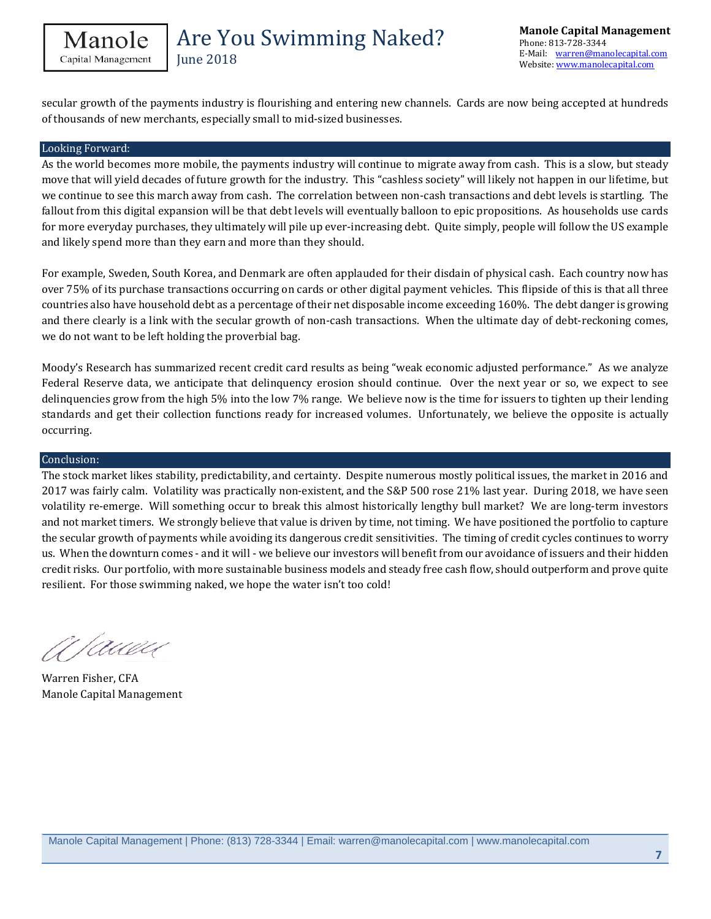**June 2018** 

secular growth of the payments industry is flourishing and entering new channels. Cards are now being accepted at hundreds of thousands of new merchants, especially small to mid-sized businesses.

#### Looking Forward:

As the world becomes more mobile, the payments industry will continue to migrate away from cash. This is a slow, but steady move that will yield decades of future growth for the industry. This "cashless society" will likely not happen in our lifetime, but we continue to see this march away from cash. The correlation between non-cash transactions and debt levels is startling. The fallout from this digital expansion will be that debt levels will eventually balloon to epic propositions. As households use cards for more everyday purchases, they ultimately will pile up ever-increasing debt. Quite simply, people will follow the US example and likely spend more than they earn and more than they should.

For example, Sweden, South Korea, and Denmark are often applauded for their disdain of physical cash. Each country now has over 75% of its purchase transactions occurring on cards or other digital payment vehicles. This flipside of this is that all three countries also have household debt as a percentage of their net disposable income exceeding 160%. The debt danger is growing and there clearly is a link with the secular growth of non-cash transactions. When the ultimate day of debt-reckoning comes, we do not want to be left holding the proverbial bag.

Moody's Research has summarized recent credit card results as being "weak economic adjusted performance." As we analyze Federal Reserve data, we anticipate that delinquency erosion should continue. Over the next year or so, we expect to see delinquencies grow from the high 5% into the low 7% range. We believe now is the time for issuers to tighten up their lending standards and get their collection functions ready for increased volumes. Unfortunately, we believe the opposite is actually occurring.

#### Conclusion:

The stock market likes stability, predictability, and certainty. Despite numerous mostly political issues, the market in 2016 and 2017 was fairly calm. Volatility was practically non-existent, and the S&P 500 rose 21% last year. During 2018, we have seen volatility re-emerge. Will something occur to break this almost historically lengthy bull market? We are long-term investors and not market timers. We strongly believe that value is driven by time, not timing. We have positioned the portfolio to capture the secular growth of payments while avoiding its dangerous credit sensitivities. The timing of credit cycles continues to worry us. When the downturn comes - and it will - we believe our investors will benefit from our avoidance of issuers and their hidden credit risks. Our portfolio, with more sustainable business models and steady free cash flow, should outperform and prove quite resilient. For those swimming naked, we hope the water isn't too cold!

A Pauen

Warren Fisher, CFA Manole Capital Management